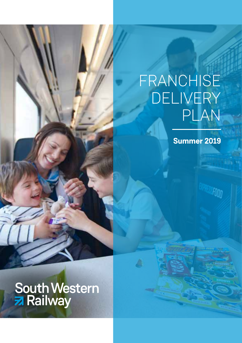## FRANCHISE **DELIVERY** PLAN

**Summer 2019** 

FOOD

South Western<br>2 Railway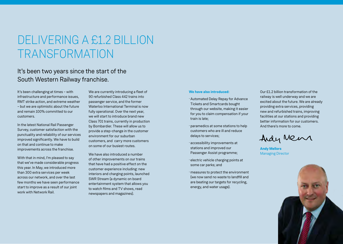# DELIVERING A £1.2 BILLION TRANSFORMATION

### It's been two years since the start of the South Western Railway franchise.

It's been challenging at times – with infrastructure and performance issues, RMT strike action, and extreme weather – but we are optimistic about the future and remain 100% committed to our customers.

In the latest National Rail Passenger Survey, customer satisfaction with the punctuality and reliability of our services improved significantly. We have to build on that and continue to make improvements across the franchise.

With that in mind, I'm pleased to say that we've made considerable progress this year. In May, we introduced more than 300 extra services per week across our network, and over the last few months we have seen performance start to improve as a result of our joint work with Network Rail.

We are currently introducing a fleet of 90 refurbished Class 442 trains into passenger service, and the former Waterloo International Terminal is now fully operational. Over the next year, we will start to introduce brand new Class 701 trains, currently in production by Bombardier. These will allow us to provide a step-change in the customer environment for our suburban customers, and carry more customers on some of our busiest routes.

We have also introduced a number of other improvements on our trains that have had a positive effect on the customer experience including: new interiors and charging points, launched SWR Stream (a dynamic on board entertainment system that allows you to watch films and TV shows, read newspapers and magazines).

#### **We have also introduced:**

- · Automated Delay Repay for Advance Tickets and Smartcards bought through our website, making it easier for you to claim compensation if your train is late;
- · paramedics at some stations to help customers who are ill and reduce delays to services;
- · accessibility improvements at stations and improved our Passenger Assist programme;
- · electric vehicle charging points at some car parks; and
- · measures to protect the environment (we now send no waste to landfill and are beating our targets for recycling, energy, and water usage).

Our £1.2 billion transformation of the railway is well underway and we are excited about the future. We are already providing extra services, providing new and refurbished trains, improving facilities at our stations and providing better information for our customers. And there's more to come.

Ardy Mens

**Andy Mellors** Managing Director

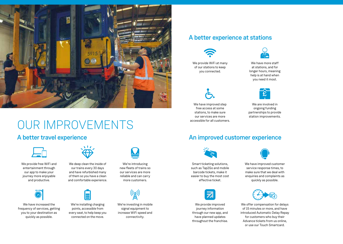

# OUR IMPROVEMENTS

### A better travel experience



We provide free WiFi and entertainment through our app to make your journey more enjoyable and productive.



We have increased the frequency of services, getting you to your destination as quickly as possible.



We deep clean the inside of our trains every 30 days and have refurbished many of them so you have a clean and comfortable experience.



We're installing charging points, accessible from every seat, to help keep you connected on the move.

We're introducing new fleets of trains so our services are more reliable and can carry more customers.



We're investing in mobile signal equipment to increase WiFi speed and connectivity.

#### A better experience at stations



We provide WiFi at many of our stations to keep you connected.

We have improved step free access at some stations, to make sure our services are more accessible for all customers.



We have more staff at stations, and for longer hours, meaning help is at hand when you need it most.



We are involved in ongoing funding partnerships to provide station improvements.

### An improved customer experience



Smart ticketing solutions, such as Tap2Go and mobile barcode tickets, make it easier to buy the most cost effective ticket.



We provide improved iourney information through our new app, and have planned updates throughout the franchise.



We have improved customer service response times, to make sure that we deal with enquiries and complaints as quickly as possible.



We offer compensation for delays of 15 minutes or more, and have introduced Automatic Delay Repay for customers who buy their Advance tickets from us online, or use our Touch Smartcard.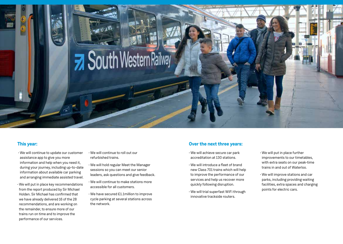

- We will continue to update our customer assistance app to give you more information and help when you need it, during your journey, including up-to-date information about available car parking and arranging immediate assisted travel.
- We will put in place key recommendations from the report produced by Sir Michael Holden. Sir Michael has confirmed that we have already delivered 16 of the 28 recommendations, and are working on the remainder, to ensure more of our trains run on time and to improve the performance of our services.
- We will continue to roll out our refurbished trains.
- We will hold regular Meet the Manager sessions so you can meet our senior leaders, ask questions and give feedback.
- We will continue to make stations more accessible for all customers.
- We have secured £1.1million to improve cycle parking at several stations across the network.

#### **This year: Over the next three years:**

- We will achieve secure car park accreditation at 130 stations.
- We will introduce a fleet of brand new Class 701 trains which will help to improve the performance of our services and help us recover more quickly following disruption.
- We will trial superfast WiFi through innovative trackside routers.
- We will put in place further improvements to our timetables, with extra seats on our peak-time trains in and out of Waterloo.
- We will improve stations and car parks, including providing waiting facilities, extra spaces and charging points for electric cars.